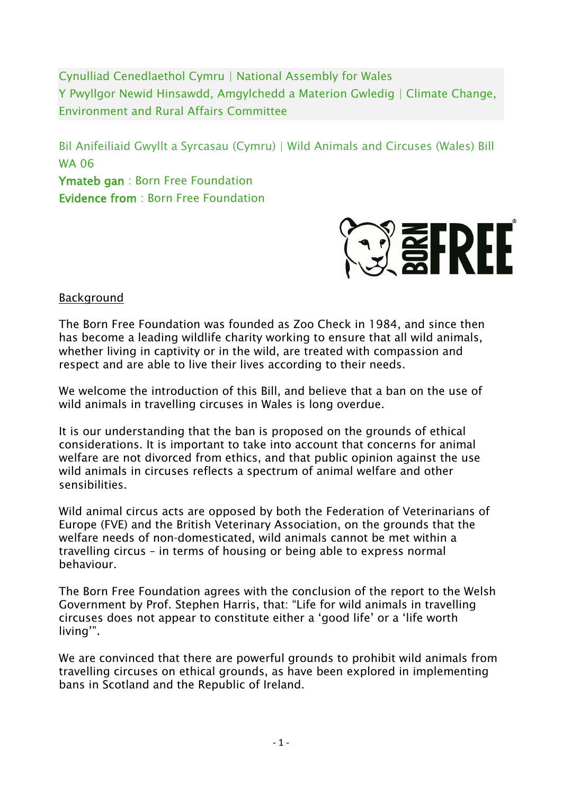Cynulliad Cenedlaethol Cymru | National Assembly for Wales Y Pwyllgor Newid Hinsawdd, Amgylchedd a Materion Gwledig | Climate Change, Environment and Rural Affairs Committee

Bil Anifeiliaid Gwyllt a Syrcasau (Cymru) | Wild Animals and Circuses (Wales) Bill WA 06

Ymateb gan : Born Free Foundation Evidence from : Born Free Foundation



**Background** 

The Born Free Foundation was founded as Zoo Check in 1984, and since then has become a leading wildlife charity working to ensure that all wild animals, whether living in captivity or in the wild, are treated with compassion and respect and are able to live their lives according to their needs.

We welcome the introduction of this Bill, and believe that a ban on the use of wild animals in travelling circuses in Wales is long overdue.

It is our understanding that the ban is proposed on the grounds of ethical considerations. It is important to take into account that concerns for animal welfare are not divorced from ethics, and that public opinion against the use wild animals in circuses reflects a spectrum of animal welfare and other sensibilities.

Wild animal circus acts are opposed by both the Federation of Veterinarians of Europe (FVE) and the British Veterinary Association, on the grounds that the welfare needs of non-domesticated, wild animals cannot be met within a travelling circus – in terms of housing or being able to express normal behaviour.

The Born Free Foundation agrees with the conclusion of the report to the Welsh Government by Prof. Stephen Harris, that: "Life for wild animals in travelling circuses does not appear to constitute either a 'good life' or a 'life worth living'".

We are convinced that there are powerful grounds to prohibit wild animals from travelling circuses on ethical grounds, as have been explored in implementing bans in Scotland and the Republic of Ireland.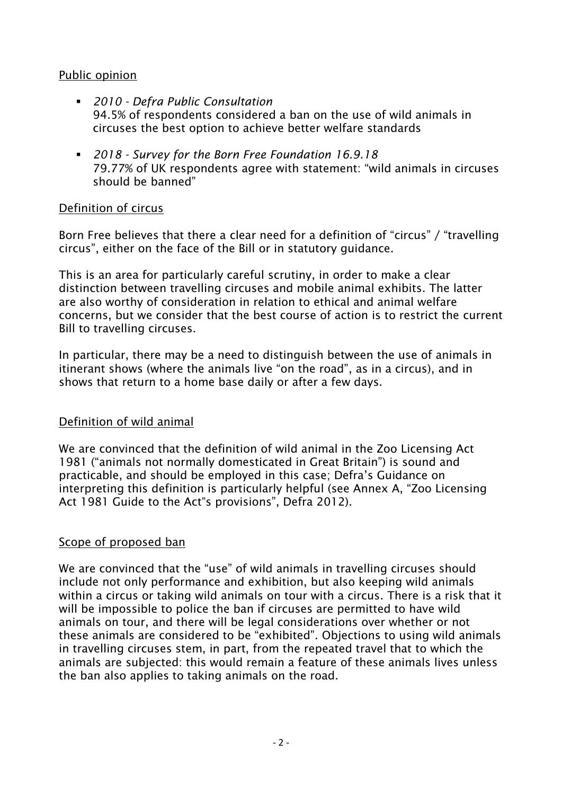## Public opinion

- *2010 - Defra Public Consultation* 94.5% of respondents considered a ban on the use of wild animals in circuses the best option to achieve better welfare standards
- *2018 - Survey for the Born Free Foundation 16.9.18*  79.77% of UK respondents agree with statement: "wild animals in circuses should be banned"

## Definition of circus

Born Free believes that there a clear need for a definition of "circus" / "travelling circus", either on the face of the Bill or in statutory guidance.

This is an area for particularly careful scrutiny, in order to make a clear distinction between travelling circuses and mobile animal exhibits. The latter are also worthy of consideration in relation to ethical and animal welfare concerns, but we consider that the best course of action is to restrict the current Bill to travelling circuses.

In particular, there may be a need to distinguish between the use of animals in itinerant shows (where the animals live "on the road", as in a circus), and in shows that return to a home base daily or after a few days.

## Definition of wild animal

We are convinced that the definition of wild animal in the Zoo Licensing Act 1981 ("animals not normally domesticated in Great Britain") is sound and practicable, and should be employed in this case; Defra's Guidance on interpreting this definition is particularly helpful (see Annex A, "Zoo Licensing Act 1981 Guide to the Act"s provisions", Defra 2012).

# Scope of proposed ban

We are convinced that the "use" of wild animals in travelling circuses should include not only performance and exhibition, but also keeping wild animals within a circus or taking wild animals on tour with a circus. There is a risk that it will be impossible to police the ban if circuses are permitted to have wild animals on tour, and there will be legal considerations over whether or not these animals are considered to be "exhibited". Objections to using wild animals in travelling circuses stem, in part, from the repeated travel that to which the animals are subjected: this would remain a feature of these animals lives unless the ban also applies to taking animals on the road.